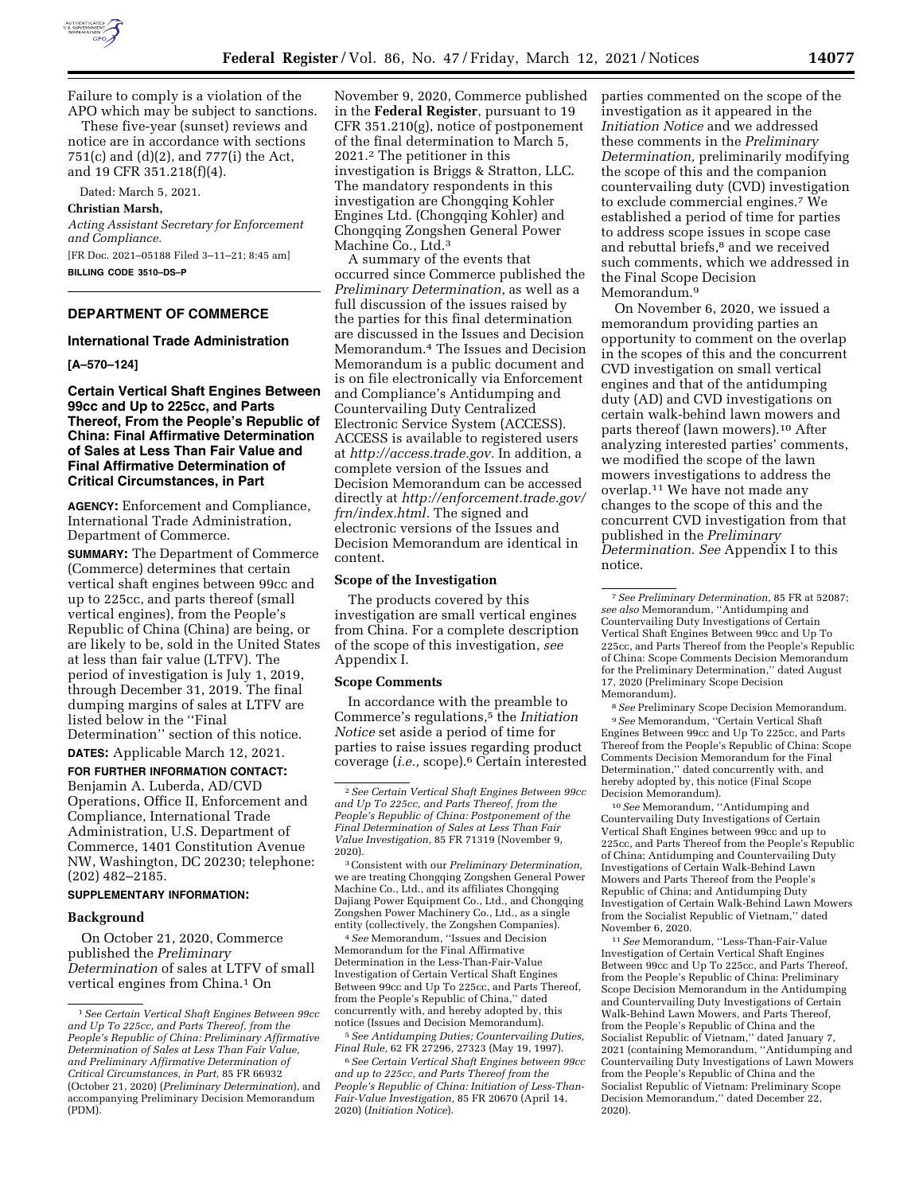

Failure to comply is a violation of the APO which may be subject to sanctions.

These five-year (sunset) reviews and notice are in accordance with sections 751(c) and (d)(2), and 777(i) the Act, and 19 CFR 351.218(f)(4).

Dated: March 5, 2021.

#### **Christian Marsh,**

*Acting Assistant Secretary for Enforcement and Compliance.*  [FR Doc. 2021–05188 Filed 3–11–21; 8:45 am] **BILLING CODE 3510–DS–P** 

**DEPARTMENT OF COMMERCE** 

#### **International Trade Administration**

**[A–570–124]** 

## **Certain Vertical Shaft Engines Between 99cc and Up to 225cc, and Parts Thereof, From the People's Republic of China: Final Affirmative Determination of Sales at Less Than Fair Value and Final Affirmative Determination of Critical Circumstances, in Part**

**AGENCY:** Enforcement and Compliance, International Trade Administration, Department of Commerce.

**SUMMARY:** The Department of Commerce (Commerce) determines that certain vertical shaft engines between 99cc and up to 225cc, and parts thereof (small vertical engines), from the People's Republic of China (China) are being, or are likely to be, sold in the United States at less than fair value (LTFV). The period of investigation is July 1, 2019, through December 31, 2019. The final dumping margins of sales at LTFV are listed below in the ''Final Determination'' section of this notice.

**DATES:** Applicable March 12, 2021.

# **FOR FURTHER INFORMATION CONTACT:**  Benjamin A. Luberda, AD/CVD Operations, Office II, Enforcement and Compliance, International Trade Administration, U.S. Department of Commerce, 1401 Constitution Avenue NW, Washington, DC 20230; telephone: (202) 482–2185.

## **SUPPLEMENTARY INFORMATION:**

## **Background**

On October 21, 2020, Commerce published the *Preliminary Determination* of sales at LTFV of small vertical engines from China.<sup>1</sup> On

November 9, 2020, Commerce published in the **Federal Register**, pursuant to 19 CFR 351.210(g), notice of postponement of the final determination to March 5, 2021.2 The petitioner in this investigation is Briggs & Stratton, LLC. The mandatory respondents in this investigation are Chongqing Kohler Engines Ltd. (Chongqing Kohler) and Chongqing Zongshen General Power Machine Co., Ltd.<sup>3</sup>

A summary of the events that occurred since Commerce published the *Preliminary Determination,* as well as a full discussion of the issues raised by the parties for this final determination are discussed in the Issues and Decision Memorandum.4 The Issues and Decision Memorandum is a public document and is on file electronically via Enforcement and Compliance's Antidumping and Countervailing Duty Centralized Electronic Service System (ACCESS). ACCESS is available to registered users at *[http://access.trade.gov.](http://access.trade.gov)* In addition, a complete version of the Issues and Decision Memorandum can be accessed directly at *[http://enforcement.trade.gov/](http://enforcement.trade.gov/frn/index.html)  [frn/index.html.](http://enforcement.trade.gov/frn/index.html)* The signed and electronic versions of the Issues and Decision Memorandum are identical in content.

#### **Scope of the Investigation**

The products covered by this investigation are small vertical engines from China. For a complete description of the scope of this investigation, *see*  Appendix I.

#### **Scope Comments**

In accordance with the preamble to Commerce's regulations,5 the *Initiation Notice* set aside a period of time for parties to raise issues regarding product coverage (*i.e.,* scope).6 Certain interested

4*See* Memorandum, ''Issues and Decision Memorandum for the Final Affirmative Determination in the Less-Than-Fair-Value Investigation of Certain Vertical Shaft Engines Between 99cc and Up To 225cc, and Parts Thereof, from the People's Republic of China,'' dated concurrently with, and hereby adopted by, this notice (Issues and Decision Memorandum).

5*See Antidumping Duties; Countervailing Duties, Final Rule,* 62 FR 27296, 27323 (May 19, 1997).

6*See Certain Vertical Shaft Engines between 99cc and up to 225cc, and Parts Thereof from the People's Republic of China: Initiation of Less-Than-Fair-Value Investigation,* 85 FR 20670 (April 14, 2020) (*Initiation Notice*).

parties commented on the scope of the investigation as it appeared in the *Initiation Notice* and we addressed these comments in the *Preliminary Determination,* preliminarily modifying the scope of this and the companion countervailing duty (CVD) investigation to exclude commercial engines.7 We established a period of time for parties to address scope issues in scope case and rebuttal briefs,8 and we received such comments, which we addressed in the Final Scope Decision Memorandum.9

On November 6, 2020, we issued a memorandum providing parties an opportunity to comment on the overlap in the scopes of this and the concurrent CVD investigation on small vertical engines and that of the antidumping duty (AD) and CVD investigations on certain walk-behind lawn mowers and parts thereof (lawn mowers).10 After analyzing interested parties' comments, we modified the scope of the lawn mowers investigations to address the overlap.11 We have not made any changes to the scope of this and the concurrent CVD investigation from that published in the *Preliminary Determination. See* Appendix I to this notice.

8*See* Preliminary Scope Decision Memorandum. 9*See* Memorandum, ''Certain Vertical Shaft Engines Between 99cc and Up To 225cc, and Parts Thereof from the People's Republic of China: Scope Comments Decision Memorandum for the Final Determination,'' dated concurrently with, and hereby adopted by, this notice (Final Scope Decision Memorandum).

10*See* Memorandum, ''Antidumping and Countervailing Duty Investigations of Certain Vertical Shaft Engines between 99cc and up to 225cc, and Parts Thereof from the People's Republic of China; Antidumping and Countervailing Duty Investigations of Certain Walk-Behind Lawn Mowers and Parts Thereof from the People's Republic of China; and Antidumping Duty Investigation of Certain Walk-Behind Lawn Mowers from the Socialist Republic of Vietnam,'' dated November 6, 2020.

11*See* Memorandum, ''Less-Than-Fair-Value Investigation of Certain Vertical Shaft Engines Between 99cc and Up To 225cc, and Parts Thereof, from the People's Republic of China: Preliminary Scope Decision Memorandum in the Antidumping and Countervailing Duty Investigations of Certain Walk-Behind Lawn Mowers, and Parts Thereof, from the People's Republic of China and the Socialist Republic of Vietnam,'' dated January 7, 2021 (containing Memorandum, ''Antidumping and Countervailing Duty Investigations of Lawn Mowers from the People's Republic of China and the Socialist Republic of Vietnam: Preliminary Scope Decision Memorandum,'' dated December 22, 2020).

<sup>1</sup>*See Certain Vertical Shaft Engines Between 99cc and Up To 225cc, and Parts Thereof, from the People's Republic of China: Preliminary Affirmative Determination of Sales at Less Than Fair Value, and Preliminary Affirmative Determination of Critical Circumstances, in Part,* 85 FR 66932 (October 21, 2020) (*Preliminary Determination*), and accompanying Preliminary Decision Memorandum (PDM).

<sup>2</sup>*See Certain Vertical Shaft Engines Between 99cc and Up To 225cc, and Parts Thereof, from the People's Republic of China: Postponement of the Final Determination of Sales at Less Than Fair Value Investigation,* 85 FR 71319 (November 9, 2020).

<sup>3</sup>Consistent with our *Preliminary Determination,*  we are treating Chongqing Zongshen General Power Machine Co., Ltd., and its affiliates Chongqing Dajiang Power Equipment Co., Ltd., and Chongqing Zongshen Power Machinery Co., Ltd., as a single entity (collectively, the Zongshen Companies).

<sup>7</sup>*See Preliminary Determination,* 85 FR at 52087; *see also* Memorandum, ''Antidumping and Countervailing Duty Investigations of Certain Vertical Shaft Engines Between 99cc and Up To 225cc, and Parts Thereof from the People's Republic of China: Scope Comments Decision Memorandum for the Preliminary Determination,'' dated August 17, 2020 (Preliminary Scope Decision Memorandum).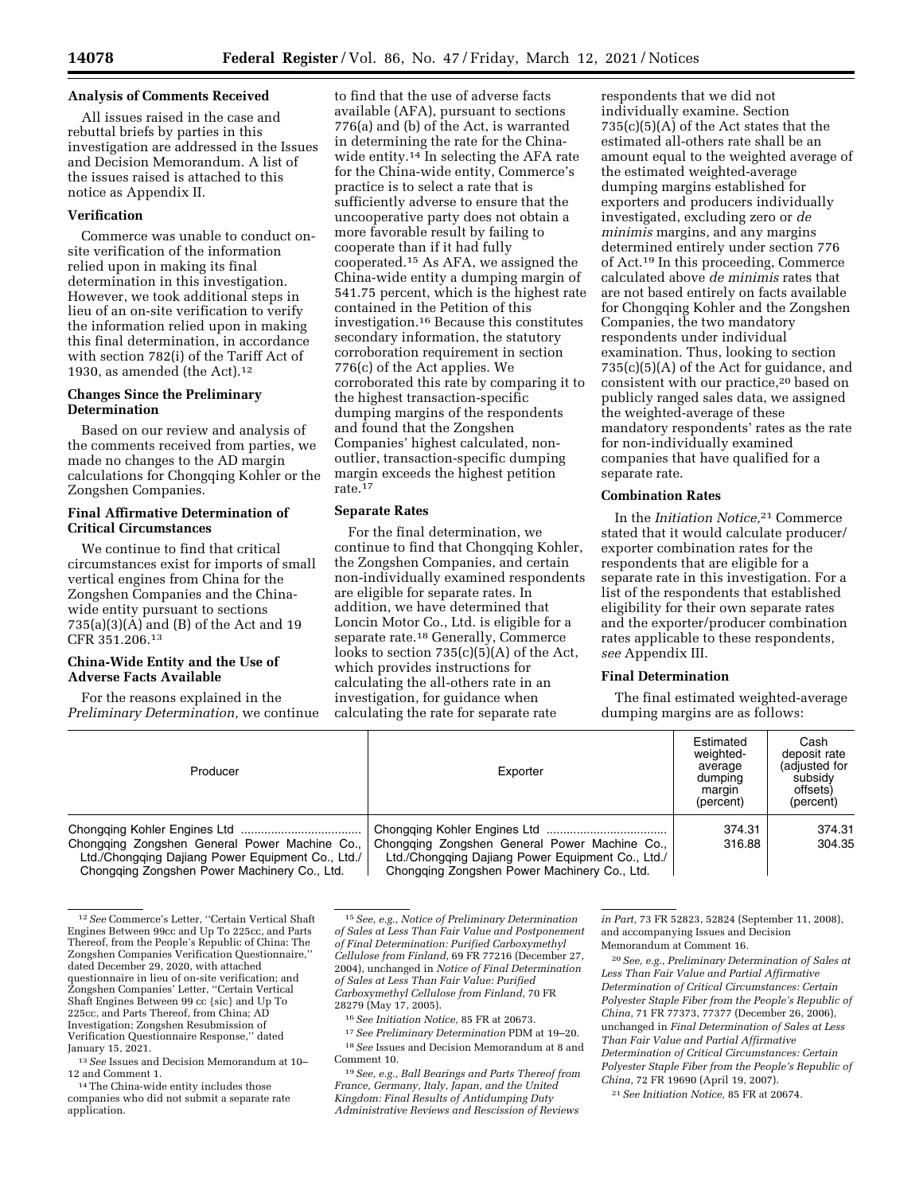### **Analysis of Comments Received**

All issues raised in the case and rebuttal briefs by parties in this investigation are addressed in the Issues and Decision Memorandum. A list of the issues raised is attached to this notice as Appendix II.

# **Verification**

Commerce was unable to conduct onsite verification of the information relied upon in making its final determination in this investigation. However, we took additional steps in lieu of an on-site verification to verify the information relied upon in making this final determination, in accordance with section 782(i) of the Tariff Act of 1930, as amended (the Act). $12$ 

# **Changes Since the Preliminary Determination**

Based on our review and analysis of the comments received from parties, we made no changes to the AD margin calculations for Chongqing Kohler or the Zongshen Companies.

# **Final Affirmative Determination of Critical Circumstances**

We continue to find that critical circumstances exist for imports of small vertical engines from China for the Zongshen Companies and the Chinawide entity pursuant to sections 735(a)(3)(A) and (B) of the Act and 19 CFR 351.206.13

## **China-Wide Entity and the Use of Adverse Facts Available**

For the reasons explained in the *Preliminary Determination,* we continue

to find that the use of adverse facts available (AFA), pursuant to sections 776(a) and (b) of the Act, is warranted in determining the rate for the Chinawide entity.14 In selecting the AFA rate for the China-wide entity, Commerce's practice is to select a rate that is sufficiently adverse to ensure that the uncooperative party does not obtain a more favorable result by failing to cooperate than if it had fully cooperated.15 As AFA, we assigned the China-wide entity a dumping margin of 541.75 percent, which is the highest rate contained in the Petition of this investigation.16 Because this constitutes secondary information, the statutory corroboration requirement in section 776(c) of the Act applies. We corroborated this rate by comparing it to the highest transaction-specific dumping margins of the respondents and found that the Zongshen Companies' highest calculated, nonoutlier, transaction-specific dumping margin exceeds the highest petition rate.17

### **Separate Rates**

For the final determination, we continue to find that Chongqing Kohler, the Zongshen Companies, and certain non-individually examined respondents are eligible for separate rates. In addition, we have determined that Loncin Motor Co., Ltd. is eligible for a separate rate.18 Generally, Commerce looks to section  $735(c)(5)(A)$  of the Act, which provides instructions for calculating the all-others rate in an investigation, for guidance when calculating the rate for separate rate

respondents that we did not individually examine. Section  $735(c)(5)(A)$  of the Act states that the estimated all-others rate shall be an amount equal to the weighted average of the estimated weighted-average dumping margins established for exporters and producers individually investigated, excluding zero or *de minimis* margins, and any margins determined entirely under section 776 of Act.19 In this proceeding, Commerce calculated above *de minimis* rates that are not based entirely on facts available for Chongqing Kohler and the Zongshen Companies, the two mandatory respondents under individual examination. Thus, looking to section 735(c)(5)(A) of the Act for guidance, and consistent with our practice,20 based on publicly ranged sales data, we assigned the weighted-average of these mandatory respondents' rates as the rate for non-individually examined companies that have qualified for a separate rate.

### **Combination Rates**

In the *Initiation Notice,*21 Commerce stated that it would calculate producer/ exporter combination rates for the respondents that are eligible for a separate rate in this investigation. For a list of the respondents that established eligibility for their own separate rates and the exporter/producer combination rates applicable to these respondents, *see* Appendix III.

### **Final Determination**

The final estimated weighted-average dumping margins are as follows:

| Producer                                                                                                                                           | Exporter                                                                                                                                           | Estimated<br>weighted-<br>average<br>dumping<br>margin<br>(percent) | Cash<br>deposit rate<br>(adjusted for<br>subsidy<br>offsets)<br>(percent) |
|----------------------------------------------------------------------------------------------------------------------------------------------------|----------------------------------------------------------------------------------------------------------------------------------------------------|---------------------------------------------------------------------|---------------------------------------------------------------------------|
| Chongging Zongshen General Power Machine Co.,<br>Ltd./Chongqing Dajiang Power Equipment Co., Ltd./<br>Chongging Zongshen Power Machinery Co., Ltd. | Chongqing Zongshen General Power Machine Co.,<br>Ltd./Chongging Dajiang Power Equipment Co., Ltd./<br>Chongging Zongshen Power Machinery Co., Ltd. | 374.31<br>316.88                                                    | 374.31<br>304.35                                                          |

12*See* Commerce's Letter, ''Certain Vertical Shaft Engines Between 99cc and Up To 225cc, and Parts Thereof, from the People's Republic of China: The Zongshen Companies Verification Questionnaire,'' dated December 29, 2020, with attached questionnaire in lieu of on-site verification; and Zongshen Companies' Letter, ''Certain Vertical Shaft Engines Between 99 cc {sic} and Up To 225cc, and Parts Thereof, from China; AD Investigation; Zongshen Resubmission of Verification Questionnaire Response,'' dated January 15, 2021.

13*See* Issues and Decision Memorandum at 10–

<sup>14</sup> The China-wide entity includes those companies who did not submit a separate rate application.

15*See, e.g., Notice of Preliminary Determination of Sales at Less Than Fair Value and Postponement of Final Determination: Purified Carboxymethyl Cellulose from Finland,* 69 FR 77216 (December 27, 2004), unchanged in *Notice of Final Determination of Sales at Less Than Fair Value: Purified Carboxymethyl Cellulose from Finland,* 70 FR 28279 (May 17, 2005).

16*See Initiation Notice,* 85 FR at 20673.

17*See Preliminary Determination* PDM at 19–20. 18*See* Issues and Decision Memorandum at 8 and Comment 10.

19*See, e.g., Ball Bearings and Parts Thereof from France, Germany, Italy, Japan, and the United Kingdom: Final Results of Antidumping Duty Administrative Reviews and Rescission of Reviews* 

*in Part,* 73 FR 52823, 52824 (September 11, 2008), and accompanying Issues and Decision Memorandum at Comment 16.

20*See, e.g., Preliminary Determination of Sales at Less Than Fair Value and Partial Affirmative Determination of Critical Circumstances: Certain Polyester Staple Fiber from the People's Republic of China,* 71 FR 77373, 77377 (December 26, 2006), unchanged in *Final Determination of Sales at Less Than Fair Value and Partial Affirmative Determination of Critical Circumstances: Certain Polyester Staple Fiber from the People's Republic of China,* 72 FR 19690 (April 19, 2007).

21*See Initiation Notice,* 85 FR at 20674.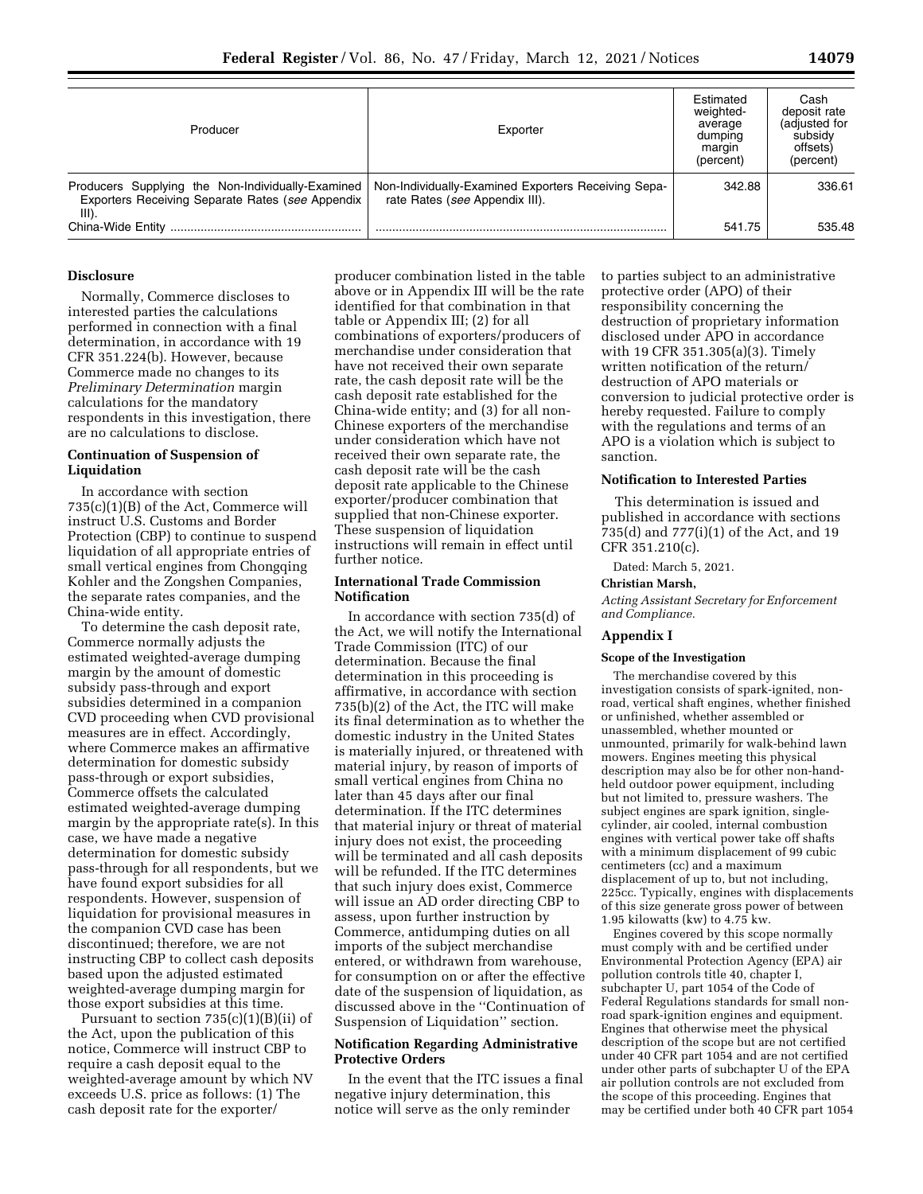| Producer                                                                                                     | Exporter                                                                              | Estimated<br>weighted-<br>average<br>dumping<br>margin<br>(percent) | Cash<br>deposit rate<br>(adjusted for<br>subsidy<br>offsets)<br>(percent) |
|--------------------------------------------------------------------------------------------------------------|---------------------------------------------------------------------------------------|---------------------------------------------------------------------|---------------------------------------------------------------------------|
| Producers Supplying the Non-Individually-Examined<br>Exporters Receiving Separate Rates (see Appendix<br>III | Non-Individually-Examined Exporters Receiving Sepa-<br>rate Rates (see Appendix III). | 342.88                                                              | 336.61                                                                    |
| China-Wide Entity                                                                                            |                                                                                       | 541.75                                                              | 535.48                                                                    |

# **Disclosure**

Normally, Commerce discloses to interested parties the calculations performed in connection with a final determination, in accordance with 19 CFR 351.224(b). However, because Commerce made no changes to its *Preliminary Determination* margin calculations for the mandatory respondents in this investigation, there are no calculations to disclose.

### **Continuation of Suspension of Liquidation**

In accordance with section 735(c)(1)(B) of the Act, Commerce will instruct U.S. Customs and Border Protection (CBP) to continue to suspend liquidation of all appropriate entries of small vertical engines from Chongqing Kohler and the Zongshen Companies, the separate rates companies, and the China-wide entity.

To determine the cash deposit rate, Commerce normally adjusts the estimated weighted-average dumping margin by the amount of domestic subsidy pass-through and export subsidies determined in a companion CVD proceeding when CVD provisional measures are in effect. Accordingly, where Commerce makes an affirmative determination for domestic subsidy pass-through or export subsidies, Commerce offsets the calculated estimated weighted-average dumping margin by the appropriate rate(s). In this case, we have made a negative determination for domestic subsidy pass-through for all respondents, but we have found export subsidies for all respondents. However, suspension of liquidation for provisional measures in the companion CVD case has been discontinued; therefore, we are not instructing CBP to collect cash deposits based upon the adjusted estimated weighted-average dumping margin for those export subsidies at this time.

Pursuant to section  $735(c)(1)(B)(ii)$  of the Act, upon the publication of this notice, Commerce will instruct CBP to require a cash deposit equal to the weighted-average amount by which NV exceeds U.S. price as follows: (1) The cash deposit rate for the exporter/

producer combination listed in the table above or in Appendix III will be the rate identified for that combination in that table or Appendix III; (2) for all combinations of exporters/producers of merchandise under consideration that have not received their own separate rate, the cash deposit rate will be the cash deposit rate established for the China-wide entity; and (3) for all non-Chinese exporters of the merchandise under consideration which have not received their own separate rate, the cash deposit rate will be the cash deposit rate applicable to the Chinese exporter/producer combination that supplied that non-Chinese exporter. These suspension of liquidation instructions will remain in effect until further notice.

# **International Trade Commission Notification**

In accordance with section 735(d) of the Act, we will notify the International Trade Commission (ITC) of our determination. Because the final determination in this proceeding is affirmative, in accordance with section 735(b)(2) of the Act, the ITC will make its final determination as to whether the domestic industry in the United States is materially injured, or threatened with material injury, by reason of imports of small vertical engines from China no later than 45 days after our final determination. If the ITC determines that material injury or threat of material injury does not exist, the proceeding will be terminated and all cash deposits will be refunded. If the ITC determines that such injury does exist, Commerce will issue an AD order directing CBP to assess, upon further instruction by Commerce, antidumping duties on all imports of the subject merchandise entered, or withdrawn from warehouse, for consumption on or after the effective date of the suspension of liquidation, as discussed above in the ''Continuation of Suspension of Liquidation'' section.

## **Notification Regarding Administrative Protective Orders**

In the event that the ITC issues a final negative injury determination, this notice will serve as the only reminder

to parties subject to an administrative protective order (APO) of their responsibility concerning the destruction of proprietary information disclosed under APO in accordance with 19 CFR 351.305(a)(3). Timely written notification of the return/ destruction of APO materials or conversion to judicial protective order is hereby requested. Failure to comply with the regulations and terms of an APO is a violation which is subject to sanction.

### **Notification to Interested Parties**

This determination is issued and published in accordance with sections 735(d) and 777(i)(1) of the Act, and 19 CFR 351.210(c).

Dated: March 5, 2021.

#### **Christian Marsh,**

*Acting Assistant Secretary for Enforcement and Compliance.* 

## **Appendix I**

#### **Scope of the Investigation**

The merchandise covered by this investigation consists of spark-ignited, nonroad, vertical shaft engines, whether finished or unfinished, whether assembled or unassembled, whether mounted or unmounted, primarily for walk-behind lawn mowers. Engines meeting this physical description may also be for other non-handheld outdoor power equipment, including but not limited to, pressure washers. The subject engines are spark ignition, singlecylinder, air cooled, internal combustion engines with vertical power take off shafts with a minimum displacement of 99 cubic centimeters (cc) and a maximum displacement of up to, but not including, 225cc. Typically, engines with displacements of this size generate gross power of between 1.95 kilowatts (kw) to 4.75 kw.

Engines covered by this scope normally must comply with and be certified under Environmental Protection Agency (EPA) air pollution controls title 40, chapter I, subchapter U, part 1054 of the Code of Federal Regulations standards for small nonroad spark-ignition engines and equipment. Engines that otherwise meet the physical description of the scope but are not certified under 40 CFR part 1054 and are not certified under other parts of subchapter U of the EPA air pollution controls are not excluded from the scope of this proceeding. Engines that may be certified under both 40 CFR part 1054